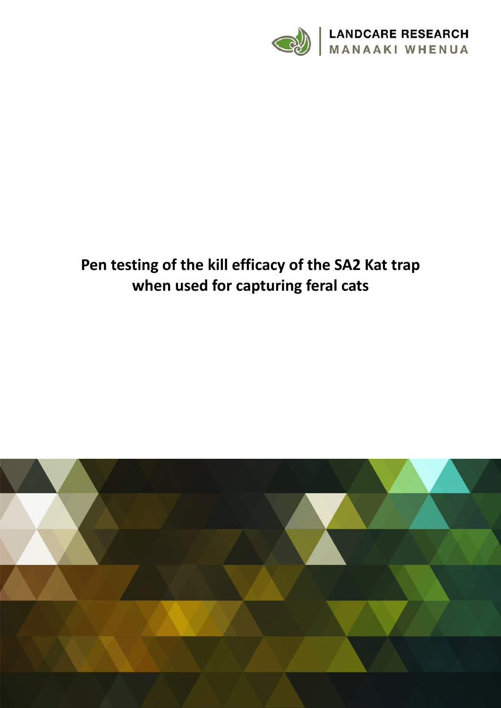

# **Pen testing of the kill efficacy of the SA2 Kat trap when used for capturing feral cats**

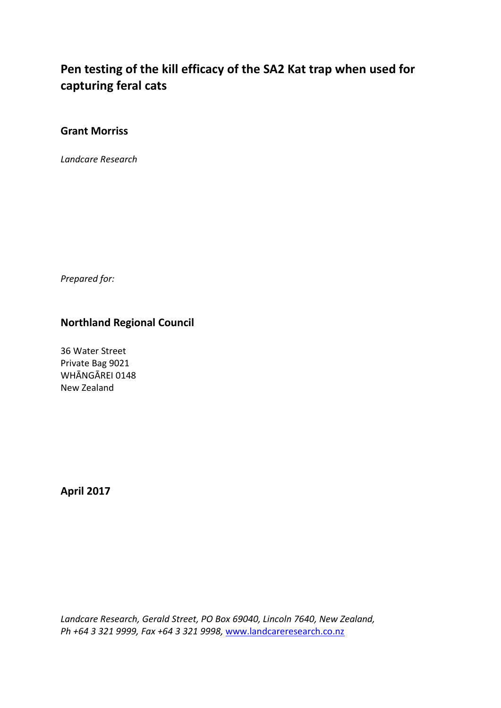# **Pen testing of the kill efficacy of the SA2 Kat trap when used for capturing feral cats**

# **Grant Morriss**

*Landcare Research*

*Prepared for:*

# **Northland Regional Council**

36 Water Street Private Bag 9021 WHĀNGĀREI 0148 New Zealand

**April 2017**

*Landcare Research, Gerald Street, PO Box 69040, Lincoln 7640, New Zealand, Ph +64 3 321 9999, Fax +64 3 321 9998,* [www.landcareresearch.co.nz](http://www.landcareresearch.co.nz/)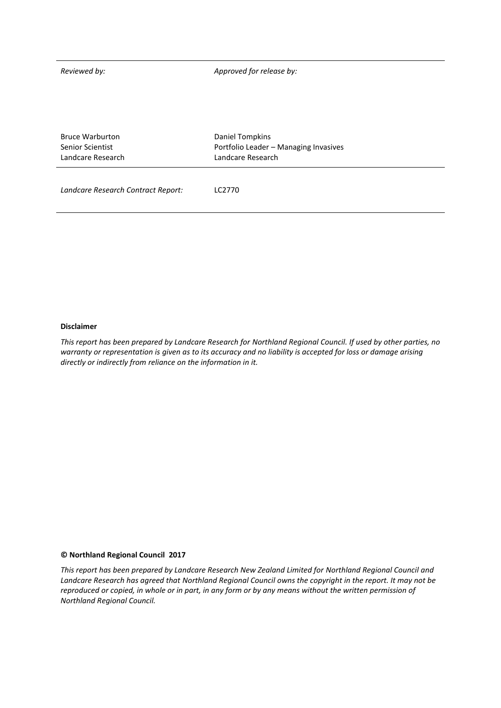*Reviewed by: Approved for release by:*

| <b>Bruce Warburton</b> | Daniel Tompkins                       |  |  |
|------------------------|---------------------------------------|--|--|
| Senior Scientist       | Portfolio Leader - Managing Invasives |  |  |
| Landcare Research      | Landcare Research                     |  |  |
|                        |                                       |  |  |

*Landcare Research Contract Report:* LC2770

#### **Disclaimer**

*This report has been prepared by Landcare Research for Northland Regional Council. If used by other parties, no warranty or representation is given as to its accuracy and no liability is accepted for loss or damage arising directly or indirectly from reliance on the information in it.*

#### **© Northland Regional Council 2017**

*This report has been prepared by Landcare Research New Zealand Limited for Northland Regional Council and Landcare Research has agreed that Northland Regional Council owns the copyright in the report. It may not be reproduced or copied, in whole or in part, in any form or by any means without the written permission of Northland Regional Council.*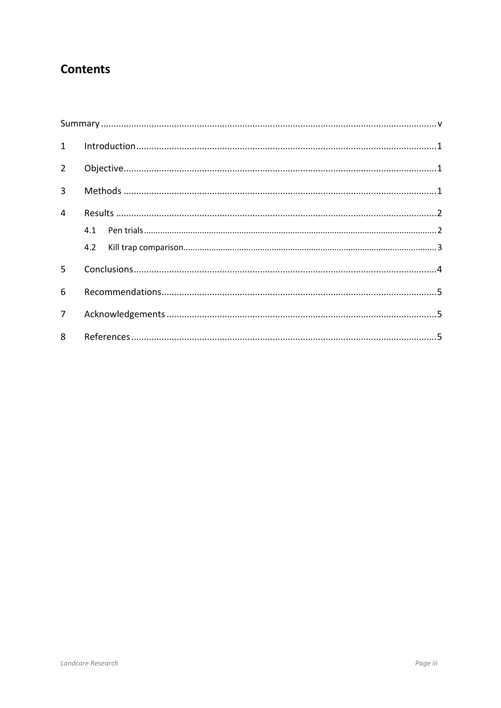# **Contents**

| $\mathbf{1}$   |  |  |  |  |  |  |  |
|----------------|--|--|--|--|--|--|--|
| $\overline{2}$ |  |  |  |  |  |  |  |
| $\overline{3}$ |  |  |  |  |  |  |  |
| $\overline{4}$ |  |  |  |  |  |  |  |
|                |  |  |  |  |  |  |  |
|                |  |  |  |  |  |  |  |
| 5              |  |  |  |  |  |  |  |
| 6              |  |  |  |  |  |  |  |
| $\overline{7}$ |  |  |  |  |  |  |  |
| 8              |  |  |  |  |  |  |  |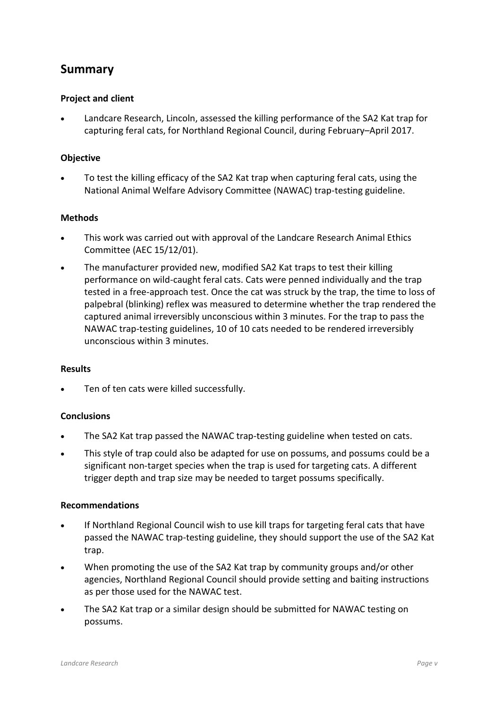# <span id="page-6-0"></span>**Summary**

#### **Project and client**

 Landcare Research, Lincoln, assessed the killing performance of the SA2 Kat trap for capturing feral cats, for Northland Regional Council, during February–April 2017.

#### **Objective**

 To test the killing efficacy of the SA2 Kat trap when capturing feral cats, using the National Animal Welfare Advisory Committee (NAWAC) trap-testing guideline.

#### **Methods**

- This work was carried out with approval of the Landcare Research Animal Ethics Committee (AEC 15/12/01).
- The manufacturer provided new, modified SA2 Kat traps to test their killing performance on wild-caught feral cats. Cats were penned individually and the trap tested in a free-approach test. Once the cat was struck by the trap, the time to loss of palpebral (blinking) reflex was measured to determine whether the trap rendered the captured animal irreversibly unconscious within 3 minutes. For the trap to pass the NAWAC trap-testing guidelines, 10 of 10 cats needed to be rendered irreversibly unconscious within 3 minutes.

#### **Results**

Ten of ten cats were killed successfully.

#### **Conclusions**

- The SA2 Kat trap passed the NAWAC trap-testing guideline when tested on cats.
- This style of trap could also be adapted for use on possums, and possums could be a significant non-target species when the trap is used for targeting cats. A different trigger depth and trap size may be needed to target possums specifically.

#### **Recommendations**

- If Northland Regional Council wish to use kill traps for targeting feral cats that have passed the NAWAC trap-testing guideline, they should support the use of the SA2 Kat trap.
- When promoting the use of the SA2 Kat trap by community groups and/or other agencies, Northland Regional Council should provide setting and baiting instructions as per those used for the NAWAC test.
- The SA2 Kat trap or a similar design should be submitted for NAWAC testing on possums.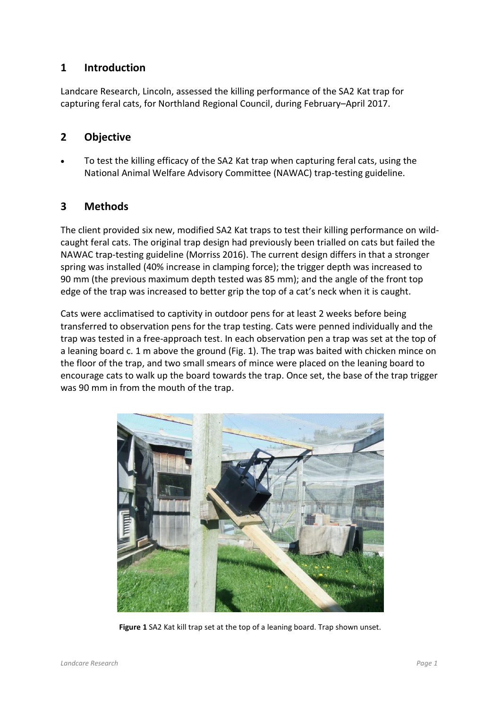# <span id="page-8-0"></span>**1 Introduction**

Landcare Research, Lincoln, assessed the killing performance of the SA2 Kat trap for capturing feral cats, for Northland Regional Council, during February–April 2017.

### <span id="page-8-1"></span>**2 Objective**

 To test the killing efficacy of the SA2 Kat trap when capturing feral cats, using the National Animal Welfare Advisory Committee (NAWAC) trap-testing guideline.

# <span id="page-8-2"></span>**3 Methods**

The client provided six new, modified SA2 Kat traps to test their killing performance on wildcaught feral cats. The original trap design had previously been trialled on cats but failed the NAWAC trap-testing guideline (Morriss 2016). The current design differs in that a stronger spring was installed (40% increase in clamping force); the trigger depth was increased to 90 mm (the previous maximum depth tested was 85 mm); and the angle of the front top edge of the trap was increased to better grip the top of a cat's neck when it is caught.

Cats were acclimatised to captivity in outdoor pens for at least 2 weeks before being transferred to observation pens for the trap testing. Cats were penned individually and the trap was tested in a free-approach test. In each observation pen a trap was set at the top of a leaning board c. 1 m above the ground (Fig. 1). The trap was baited with chicken mince on the floor of the trap, and two small smears of mince were placed on the leaning board to encourage cats to walk up the board towards the trap. Once set, the base of the trap trigger was 90 mm in from the mouth of the trap.



**Figure 1** SA2 Kat kill trap set at the top of a leaning board. Trap shown unset.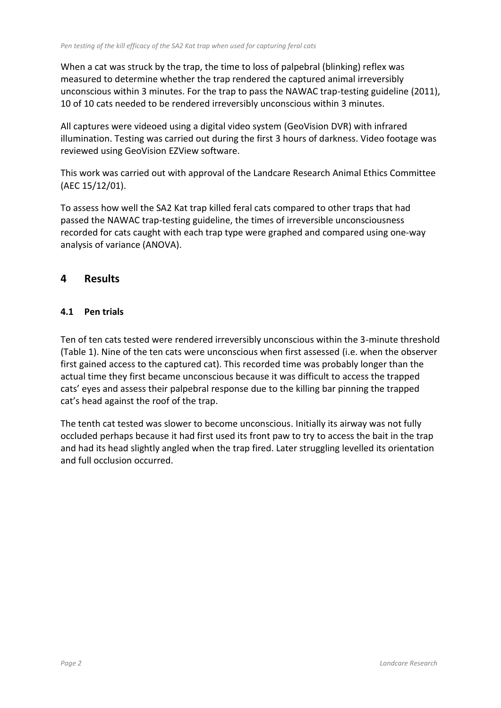When a cat was struck by the trap, the time to loss of palpebral (blinking) reflex was measured to determine whether the trap rendered the captured animal irreversibly unconscious within 3 minutes. For the trap to pass the NAWAC trap-testing guideline (2011), 10 of 10 cats needed to be rendered irreversibly unconscious within 3 minutes.

All captures were videoed using a digital video system (GeoVision DVR) with infrared illumination. Testing was carried out during the first 3 hours of darkness. Video footage was reviewed using GeoVision EZView software.

This work was carried out with approval of the Landcare Research Animal Ethics Committee (AEC 15/12/01).

To assess how well the SA2 Kat trap killed feral cats compared to other traps that had passed the NAWAC trap-testing guideline, the times of irreversible unconsciousness recorded for cats caught with each trap type were graphed and compared using one-way analysis of variance (ANOVA).

# <span id="page-9-0"></span>**4 Results**

# <span id="page-9-1"></span>**4.1 Pen trials**

Ten of ten cats tested were rendered irreversibly unconscious within the 3-minute threshold (Table 1). Nine of the ten cats were unconscious when first assessed (i.e. when the observer first gained access to the captured cat). This recorded time was probably longer than the actual time they first became unconscious because it was difficult to access the trapped cats' eyes and assess their palpebral response due to the killing bar pinning the trapped cat's head against the roof of the trap.

The tenth cat tested was slower to become unconscious. Initially its airway was not fully occluded perhaps because it had first used its front paw to try to access the bait in the trap and had its head slightly angled when the trap fired. Later struggling levelled its orientation and full occlusion occurred.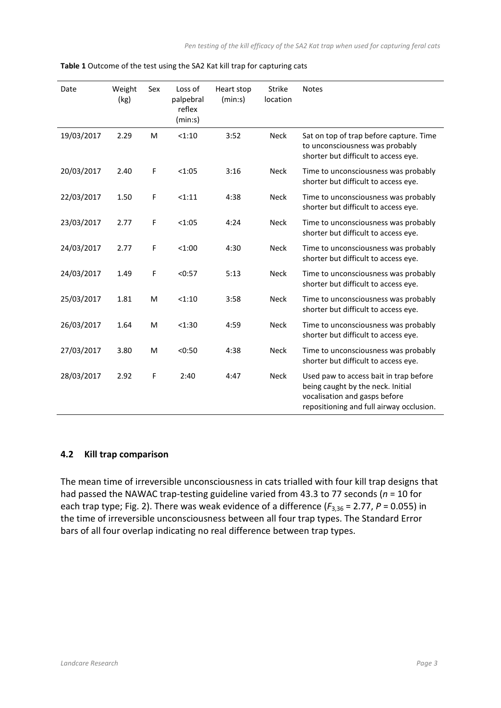| Date       | Weight<br>(kg) | Sex | Loss of<br>palpebral<br>reflex<br>(min:s) | Heart stop<br>(min:s) | <b>Strike</b><br>location | <b>Notes</b>                                                                                                                                             |
|------------|----------------|-----|-------------------------------------------|-----------------------|---------------------------|----------------------------------------------------------------------------------------------------------------------------------------------------------|
| 19/03/2017 | 2.29           | M   | < 1:10                                    | 3:52                  | <b>Neck</b>               | Sat on top of trap before capture. Time<br>to unconsciousness was probably<br>shorter but difficult to access eye.                                       |
| 20/03/2017 | 2.40           | F   | < 1:05                                    | 3:16                  | <b>Neck</b>               | Time to unconsciousness was probably<br>shorter but difficult to access eye.                                                                             |
| 22/03/2017 | 1.50           | F   | <1:11                                     | 4:38                  | <b>Neck</b>               | Time to unconsciousness was probably<br>shorter but difficult to access eye.                                                                             |
| 23/03/2017 | 2.77           | F   | < 1:05                                    | 4:24                  | <b>Neck</b>               | Time to unconsciousness was probably<br>shorter but difficult to access eye.                                                                             |
| 24/03/2017 | 2.77           | F   | < 1:00                                    | 4:30                  | <b>Neck</b>               | Time to unconsciousness was probably<br>shorter but difficult to access eye.                                                                             |
| 24/03/2017 | 1.49           | F   | < 0:57                                    | 5:13                  | <b>Neck</b>               | Time to unconsciousness was probably<br>shorter but difficult to access eye.                                                                             |
| 25/03/2017 | 1.81           | M   | < 1:10                                    | 3:58                  | <b>Neck</b>               | Time to unconsciousness was probably<br>shorter but difficult to access eye.                                                                             |
| 26/03/2017 | 1.64           | M   | < 1:30                                    | 4:59                  | <b>Neck</b>               | Time to unconsciousness was probably<br>shorter but difficult to access eye.                                                                             |
| 27/03/2017 | 3.80           | M   | < 0:50                                    | 4:38                  | <b>Neck</b>               | Time to unconsciousness was probably<br>shorter but difficult to access eye.                                                                             |
| 28/03/2017 | 2.92           | F   | 2:40                                      | 4:47                  | <b>Neck</b>               | Used paw to access bait in trap before<br>being caught by the neck. Initial<br>vocalisation and gasps before<br>repositioning and full airway occlusion. |

**Table 1** Outcome of the test using the SA2 Kat kill trap for capturing cats

#### <span id="page-10-0"></span>**4.2 Kill trap comparison**

The mean time of irreversible unconsciousness in cats trialled with four kill trap designs that had passed the NAWAC trap-testing guideline varied from 43.3 to 77 seconds (*n* = 10 for each trap type; Fig. 2). There was weak evidence of a difference ( $F_{3,36}$  = 2.77, P = 0.055) in the time of irreversible unconsciousness between all four trap types. The Standard Error bars of all four overlap indicating no real difference between trap types.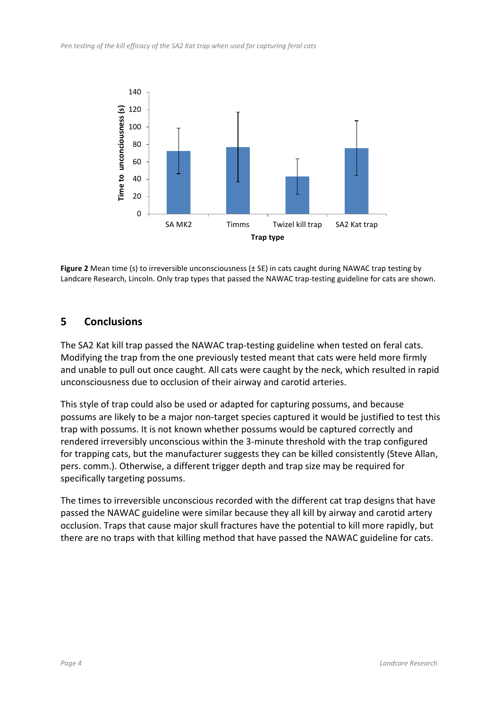

**Figure 2** Mean time (s) to irreversible unconsciousness (± SE) in cats caught during NAWAC trap testing by Landcare Research, Lincoln. Only trap types that passed the NAWAC trap-testing guideline for cats are shown.

# <span id="page-11-0"></span>**5 Conclusions**

The SA2 Kat kill trap passed the NAWAC trap-testing guideline when tested on feral cats. Modifying the trap from the one previously tested meant that cats were held more firmly and unable to pull out once caught. All cats were caught by the neck, which resulted in rapid unconsciousness due to occlusion of their airway and carotid arteries.

This style of trap could also be used or adapted for capturing possums, and because possums are likely to be a major non-target species captured it would be justified to test this trap with possums. It is not known whether possums would be captured correctly and rendered irreversibly unconscious within the 3-minute threshold with the trap configured for trapping cats, but the manufacturer suggests they can be killed consistently (Steve Allan, pers. comm.). Otherwise, a different trigger depth and trap size may be required for specifically targeting possums.

The times to irreversible unconscious recorded with the different cat trap designs that have passed the NAWAC guideline were similar because they all kill by airway and carotid artery occlusion. Traps that cause major skull fractures have the potential to kill more rapidly, but there are no traps with that killing method that have passed the NAWAC guideline for cats.